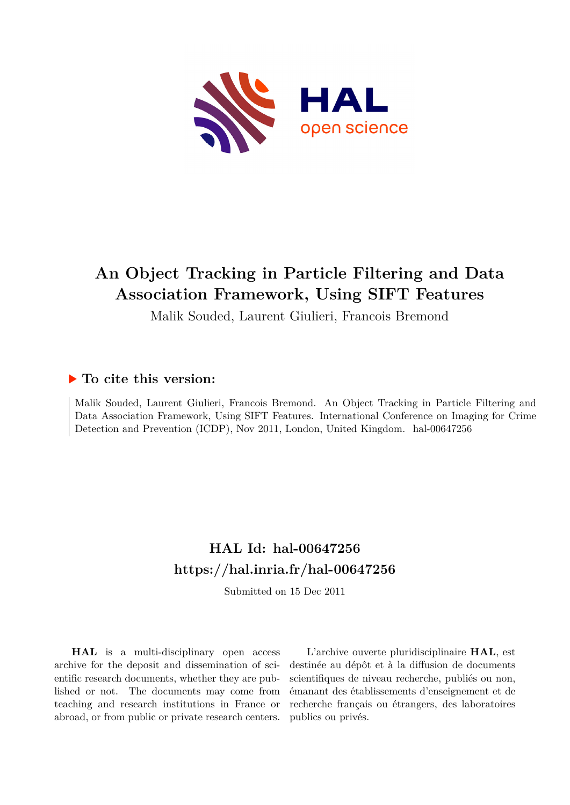

# **An Object Tracking in Particle Filtering and Data Association Framework, Using SIFT Features**

Malik Souded, Laurent Giulieri, Francois Bremond

## **To cite this version:**

Malik Souded, Laurent Giulieri, Francois Bremond. An Object Tracking in Particle Filtering and Data Association Framework, Using SIFT Features. International Conference on Imaging for Crime Detection and Prevention (ICDP), Nov 2011, London, United Kingdom. hal-00647256

## **HAL Id: hal-00647256 <https://hal.inria.fr/hal-00647256>**

Submitted on 15 Dec 2011

**HAL** is a multi-disciplinary open access archive for the deposit and dissemination of scientific research documents, whether they are published or not. The documents may come from teaching and research institutions in France or abroad, or from public or private research centers.

L'archive ouverte pluridisciplinaire **HAL**, est destinée au dépôt et à la diffusion de documents scientifiques de niveau recherche, publiés ou non, émanant des établissements d'enseignement et de recherche français ou étrangers, des laboratoires publics ou privés.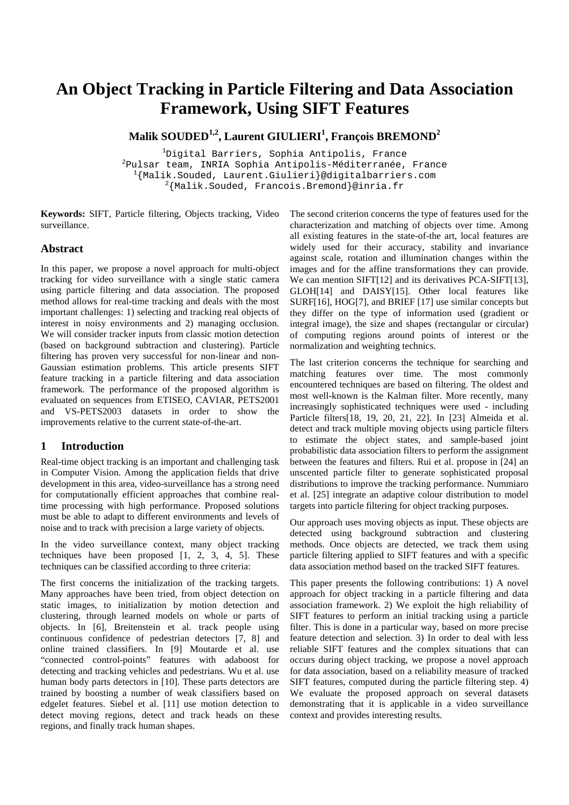## **An Object Tracking in Particle Filtering and Data Association Framework, Using SIFT Features**

**Malik SOUDED1,2, Laurent GIULIERI<sup>1</sup> , François BREMOND<sup>2</sup>**

<sup>1</sup>Digital Barriers, Sophia Antipolis, France <sup>2</sup>Pulsar team, INRIA Sophia Antipolis-Méditerranée, France  $^{1}\{$ Malik.Souded, Laurent.Giulieri $\rbrace$ @digitalbarriers.com  $2\{$ Malik.Souded, Francois.Bremond $\}$ @inria.fr

**Keywords:** SIFT, Particle filtering, Objects tracking, Video surveillance.

## **Abstract**

In this paper, we propose a novel approach for multi-object tracking for video surveillance with a single static camera using particle filtering and data association. The proposed method allows for real-time tracking and deals with the most important challenges: 1) selecting and tracking real objects of interest in noisy environments and 2) managing occlusion. We will consider tracker inputs from classic motion detection (based on background subtraction and clustering). Particle filtering has proven very successful for non-linear and non-Gaussian estimation problems. This article presents SIFT feature tracking in a particle filtering and data association framework. The performance of the proposed algorithm is evaluated on sequences from ETISEO, CAVIAR, PETS2001 and VS-PETS2003 datasets in order to show the improvements relative to the current state-of-the-art.

## **1 Introduction**

Real-time object tracking is an important and challenging task in Computer Vision. Among the application fields that drive development in this area, video-surveillance has a strong need for computationally efficient approaches that combine realtime processing with high performance. Proposed solutions must be able to adapt to different environments and levels of noise and to track with precision a large variety of objects.

In the video surveillance context, many object tracking techniques have been proposed [1, 2, 3, 4, 5]. These techniques can be classified according to three criteria:

The first concerns the initialization of the tracking targets. Many approaches have been tried, from object detection on static images, to initialization by motion detection and clustering, through learned models on whole or parts of objects. In [6], Breitenstein et al. track people using continuous confidence of pedestrian detectors [7, 8] and online trained classifiers. In [9] Moutarde et al. use "connected control-points" features with adaboost for detecting and tracking vehicles and pedestrians. Wu et al. use human body parts detectors in [10]. These parts detectors are trained by boosting a number of weak classifiers based on edgelet features. Siebel et al. [11] use motion detection to detect moving regions, detect and track heads on these regions, and finally track human shapes.

The second criterion concerns the type of features used for the characterization and matching of objects over time. Among all existing features in the state-of-the art, local features are widely used for their accuracy, stability and invariance against scale, rotation and illumination changes within the images and for the affine transformations they can provide. We can mention SIFT[12] and its derivatives PCA-SIFT[13], GLOH[14] and DAISY[15]. Other local features like SURF[16], HOG[7], and BRIEF [17] use similar concepts but they differ on the type of information used (gradient or integral image), the size and shapes (rectangular or circular) of computing regions around points of interest or the normalization and weighting technics.

The last criterion concerns the technique for searching and matching features over time. The most commonly encountered techniques are based on filtering. The oldest and most well-known is the Kalman filter. More recently, many increasingly sophisticated techniques were used - including Particle filters[18, 19, 20, 21, 22]. In [23] Almeida et al. detect and track multiple moving objects using particle filters to estimate the object states, and sample-based joint probabilistic data association filters to perform the assignment between the features and filters. Rui et al. propose in [24] an unscented particle filter to generate sophisticated proposal distributions to improve the tracking performance. Nummiaro et al. [25] integrate an adaptive colour distribution to model targets into particle filtering for object tracking purposes.

Our approach uses moving objects as input. These objects are detected using background subtraction and clustering methods. Once objects are detected, we track them using particle filtering applied to SIFT features and with a specific data association method based on the tracked SIFT features.

This paper presents the following contributions: 1) A novel approach for object tracking in a particle filtering and data association framework. 2) We exploit the high reliability of SIFT features to perform an initial tracking using a particle filter. This is done in a particular way, based on more precise feature detection and selection. 3) In order to deal with less reliable SIFT features and the complex situations that can occurs during object tracking, we propose a novel approach for data association, based on a reliability measure of tracked SIFT features, computed during the particle filtering step. 4) We evaluate the proposed approach on several datasets demonstrating that it is applicable in a video surveillance context and provides interesting results.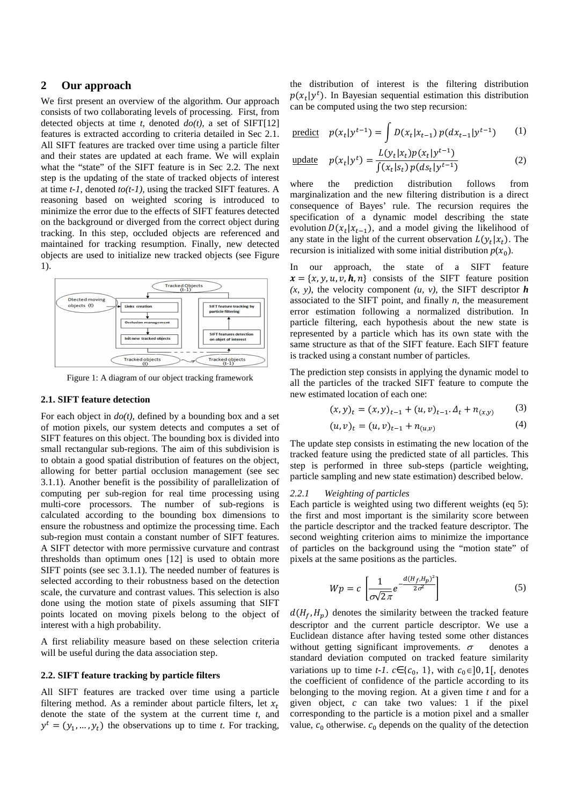### **2 Our approach**

We first present an overview of the algorithm. Our approach consists of two collaborating levels of processing. First, from detected objects at time *t*, denoted *do(t),* a set of SIFT[12] features is extracted according to criteria detailed in Sec 2.1. All SIFT features are tracked over time using a particle filter and their states are updated at each frame. We will explain what the "state" of the SIFT feature is in Sec 2.2. The next step is the updating of the state of tracked objects of interest at time *t-1*, denoted *to(t-1),* using the tracked SIFT features. A reasoning based on weighted scoring is introduced to minimize the error due to the effects of SIFT features detected on the background or diverged from the correct object during tracking. In this step, occluded objects are referenced and maintained for tracking resumption. Finally, new detected objects are used to initialize new tracked objects (see Figure 1).



Figure 1: A diagram of our object tracking framework

#### **2.1. SIFT feature detection**

For each object in *do(t)*, defined by a bounding box and a set of motion pixels, our system detects and computes a set of SIFT features on this object. The bounding box is divided into small rectangular sub-regions. The aim of this subdivision is to obtain a good spatial distribution of features on the object, allowing for better partial occlusion management (see sec 3.1.1). Another benefit is the possibility of parallelization of computing per sub-region for real time processing using multi-core processors. The number of sub-regions is calculated according to the bounding box dimensions to ensure the robustness and optimize the processing time. Each sub-region must contain a constant number of SIFT features. A SIFT detector with more permissive curvature and contrast thresholds than optimum ones [12] is used to obtain more SIFT points (see sec 3.1.1). The needed number of features is selected according to their robustness based on the detection scale, the curvature and contrast values. This selection is also done using the motion state of pixels assuming that SIFT points located on moving pixels belong to the object of interest with a high probability.

A first reliability measure based on these selection criteria will be useful during the data association step.

#### **2.2. SIFT feature tracking by particle filters**

All SIFT features are tracked over time using a particle filtering method. As a reminder about particle filters, let  $x_t$ denote the state of the system at the current time *t*, and  $y^t = (y_1, \dots, y_t)$  the observations up to time *t*. For tracking, the distribution of interest is the filtering distribution  $p(x_t|y^t)$ . In Bayesian sequential estimation this distribution can be computed using the two step recursion:

predict 
$$
p(x_t|y^{t-1}) = \int D(x_t|x_{t-1})p(dx_{t-1}|y^{t-1})
$$
 (1)

update 
$$
p(x_t|y^t) = \frac{L(y_t|x_t)p(x_t|y^{t-1})}{\int (x_t|s_t)p(ds_t|y^{t-1})}
$$
 (2)

where the prediction distribution follows from marginalization and the new filtering distribution is a direct consequence of Bayes' rule. The recursion requires the specification of a dynamic model describing the state evolution  $D(x_t|x_{t-1})$ , and a model giving the likelihood of any state in the light of the current observation  $L(y_t|x_t)$ . The recursion is initialized with some initial distribution  $p(x_0)$ .

In our approach, the state of a SIFT feature  $x = \{x, y, u, v, h, n\}$  consists of the SIFT feature position  $(x, y)$ , the velocity component  $(u, y)$ , the SIFT descriptor *h* associated to the SIFT point, and finally *n*, the measurement error estimation following a normalized distribution. In particle filtering, each hypothesis about the new state is represented by a particle which has its own state with the same structure as that of the SIFT feature. Each SIFT feature is tracked using a constant number of particles.

The prediction step consists in applying the dynamic model to all the particles of the tracked SIFT feature to compute the new estimated location of each one:

$$
(x, y)_t = (x, y)_{t-1} + (u, v)_{t-1} \Delta_t + n_{(x, y)}
$$
 (3)

$$
(u,v)_t = (u,v)_{t-1} + n_{(u,v)}
$$
 (4)

The update step consists in estimating the new location of the tracked feature using the predicted state of all particles. This step is performed in three sub-steps (particle weighting, particle sampling and new state estimation) described below.

#### *2.2.1 Weighting of particles*

Each particle is weighted using two different weights (eq 5): the first and most important is the similarity score between the particle descriptor and the tracked feature descriptor. The second weighting criterion aims to minimize the importance of particles on the background using the "motion state" of pixels at the same positions as the particles.

$$
Wp = c \left[ \frac{1}{\sigma \sqrt{2\pi}} e^{-\frac{d(H_f, H_p)^2}{2\sigma^2}} \right]
$$
 (5)

 $d(H_f, H_n)$  denotes the similarity between the tracked feature descriptor and the current particle descriptor. We use a Euclidean distance after having tested some other distances without getting significant improvements.  $\sigma$  denotes a standard deviation computed on tracked feature similarity variations up to time  $t$ -1.  $c \in \{c_0, 1\}$ , with  $c_0 \in ]0, 1[$ , denotes the coefficient of confidence of the particle according to its belonging to the moving region. At a given time *t* and for a given object, *c* can take two values: 1 if the pixel corresponding to the particle is a motion pixel and a smaller value,  $c_0$  otherwise.  $c_0$  depends on the quality of the detection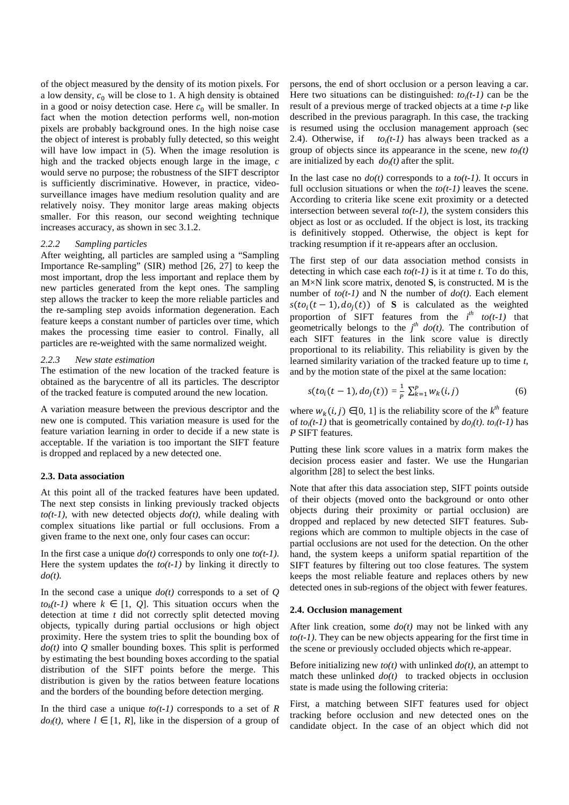of the object measured by the density of its motion pixels. For a low density,  $c_0$  will be close to 1. A high density is obtained in a good or noisy detection case. Here  $c_0$  will be smaller. In fact when the motion detection performs well, non-motion pixels are probably background ones. In the high noise case the object of interest is probably fully detected, so this weight will have low impact in  $(5)$ . When the image resolution is high and the tracked objects enough large in the image, *c* would serve no purpose; the robustness of the SIFT descriptor is sufficiently discriminative. However, in practice, videosurveillance images have medium resolution quality and are relatively noisy. They monitor large areas making objects smaller. For this reason, our second weighting technique increases accuracy, as shown in sec 3.1.2.

#### *2.2.2 Sampling particles*

After weighting, all particles are sampled using a "Sampling Importance Re-sampling" (SIR) method [26, 27] to keep the most important, drop the less important and replace them by new particles generated from the kept ones. The sampling step allows the tracker to keep the more reliable particles and the re-sampling step avoids information degeneration. Each feature keeps a constant number of particles over time, which makes the processing time easier to control. Finally, all particles are re-weighted with the same normalized weight.

#### *2.2.3 New state estimation*

The estimation of the new location of the tracked feature is obtained as the barycentre of all its particles. The descriptor of the tracked feature is computed around the new location.

A variation measure between the previous descriptor and the new one is computed. This variation measure is used for the feature variation learning in order to decide if a new state is acceptable. If the variation is too important the SIFT feature is dropped and replaced by a new detected one.

#### **2.3. Data association**

At this point all of the tracked features have been updated. The next step consists in linking previously tracked objects  $to(t-1)$ , with new detected objects  $do(t)$ , while dealing with complex situations like partial or full occlusions. From a given frame to the next one, only four cases can occur:

In the first case a unique *do(t)* corresponds to only one *to(t-1)*. Here the system updates the  $to(t-1)$  by linking it directly to *do(t).* 

In the second case a unique  $d\rho(t)$  corresponds to a set of  $Q$  $to_k(t-1)$  where  $k \in [1, 0]$ . This situation occurs when the detection at time *t* did not correctly split detected moving objects, typically during partial occlusions or high object proximity. Here the system tries to split the bounding box of *do(t)* into *Q* smaller bounding boxes. This split is performed by estimating the best bounding boxes according to the spatial distribution of the SIFT points before the merge. This distribution is given by the ratios between feature locations and the borders of the bounding before detection merging.

In the third case a unique *to(t-1)* corresponds to a set of *R*  $dof(t)$ , where  $l \in [1, R]$ , like in the dispersion of a group of persons, the end of short occlusion or a person leaving a car. Here two situations can be distinguished:  $to<sub>i</sub>(t-1)$  can be the result of a previous merge of tracked objects at a time *t-p* like described in the previous paragraph. In this case, the tracking is resumed using the occlusion management approach (sec 2.4). Otherwise, if  $to<sub>i</sub>(t-1)$  has always been tracked as a group of objects since its appearance in the scene, new  $to<sub>l</sub>(t)$ are initialized by each  $dof(t)$  after the split.

In the last case no  $do(t)$  corresponds to a  $to(t-1)$ . It occurs in full occlusion situations or when the  $to(t-1)$  leaves the scene. According to criteria like scene exit proximity or a detected intersection between several *to(t-1)*, the system considers this object as lost or as occluded. If the object is lost, its tracking is definitively stopped. Otherwise, the object is kept for tracking resumption if it re-appears after an occlusion.

The first step of our data association method consists in detecting in which case each *to(t-1)* is it at time *t*. To do this, an M×N link score matrix, denoted **S**, is constructed. M is the number of  $to(t-1)$  and N the number of  $do(t)$ . Each element  $s(to_i(t-1), do_i(t))$  of **S** is calculated as the weighted proportion of SIFT features from the  $i^{th}$  to(t-1) that geometrically belongs to the  $j<sup>th</sup>$  *do(t)*. The contribution of each SIFT features in the link score value is directly proportional to its reliability. This reliability is given by the learned similarity variation of the tracked feature up to time *t,*  and by the motion state of the pixel at the same location:

$$
s(to_i(t-1), do_j(t)) = \frac{1}{p} \sum_{k=1}^{p} w_k(i,j)
$$
 (6)

where  $w_k(i, j) \in [0, 1]$  is the reliability score of the  $k^{th}$  feature of  $to<sub>i</sub>(t-1)$  that is geometrically contained by  $do<sub>i</sub>(t)$ .  $to<sub>i</sub>(t-1)$  has *P* SIFT features.

Putting these link score values in a matrix form makes the decision process easier and faster. We use the Hungarian algorithm [28] to select the best links.

Note that after this data association step, SIFT points outside of their objects (moved onto the background or onto other objects during their proximity or partial occlusion) are dropped and replaced by new detected SIFT features. Subregions which are common to multiple objects in the case of partial occlusions are not used for the detection. On the other hand, the system keeps a uniform spatial repartition of the SIFT features by filtering out too close features. The system keeps the most reliable feature and replaces others by new detected ones in sub-regions of the object with fewer features.

#### **2.4. Occlusion management**

After link creation, some *do(t)* may not be linked with any *to(t-1)*. They can be new objects appearing for the first time in the scene or previously occluded objects which re-appear.

Before initializing new *to(t)* with unlinked *do(t)*, an attempt to match these unlinked  $do(t)$  to tracked objects in occlusion state is made using the following criteria:

First, a matching between SIFT features used for object tracking before occlusion and new detected ones on the candidate object. In the case of an object which did not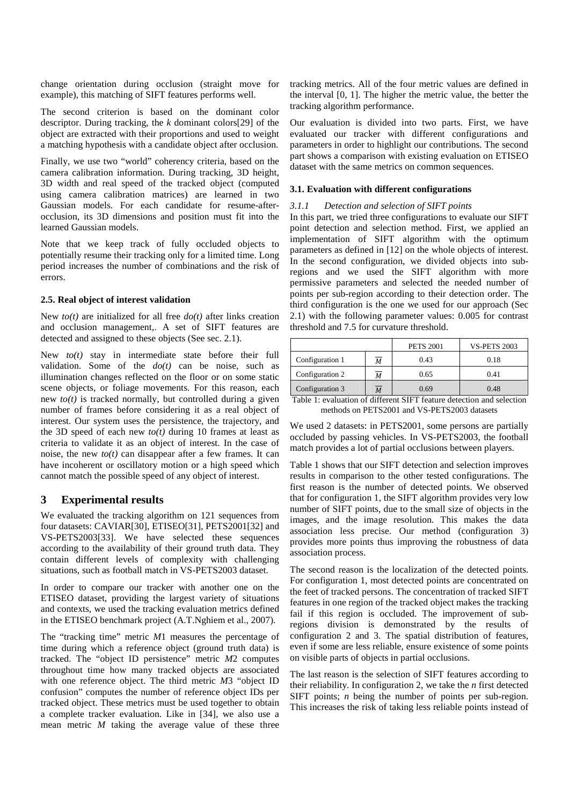change orientation during occlusion (straight move for example), this matching of SIFT features performs well.

The second criterion is based on the dominant color descriptor. During tracking, the *k* dominant colors[29] of the object are extracted with their proportions and used to weight a matching hypothesis with a candidate object after occlusion.

Finally, we use two "world" coherency criteria, based on the camera calibration information. During tracking, 3D height, 3D width and real speed of the tracked object (computed using camera calibration matrices) are learned in two Gaussian models. For each candidate for resume-afterocclusion, its 3D dimensions and position must fit into the learned Gaussian models.

Note that we keep track of fully occluded objects to potentially resume their tracking only for a limited time. Long period increases the number of combinations and the risk of errors.

#### **2.5. Real object of interest validation**

New  $to(t)$  are initialized for all free  $do(t)$  after links creation and occlusion management,. A set of SIFT features are detected and assigned to these objects (See sec. 2.1).

New *to(t)* stay in intermediate state before their full validation. Some of the  $dof$  can be noise, such as illumination changes reflected on the floor or on some static scene objects, or foliage movements. For this reason, each new *to(t)* is tracked normally, but controlled during a given number of frames before considering it as a real object of interest. Our system uses the persistence, the trajectory, and the 3D speed of each new *to(t)* during 10 frames at least as criteria to validate it as an object of interest. In the case of noise, the new  $to(t)$  can disappear after a few frames. It can have incoherent or oscillatory motion or a high speed which cannot match the possible speed of any object of interest.

## **3 Experimental results**

We evaluated the tracking algorithm on 121 sequences from four datasets: CAVIAR[30], ETISEO[31], PETS2001[32] and VS-PETS2003[33]. We have selected these sequences according to the availability of their ground truth data. They contain different levels of complexity with challenging situations, such as football match in VS-PETS2003 dataset.

In order to compare our tracker with another one on the ETISEO dataset, providing the largest variety of situations and contexts, we used the tracking evaluation metrics defined in the ETISEO benchmark project (A.T.Nghiem et al., 2007).

The "tracking time" metric *M*1 measures the percentage of time during which a reference object (ground truth data) is tracked. The "object ID persistence" metric *M*2 computes throughout time how many tracked objects are associated with one reference object. The third metric *M*3 "object ID confusion" computes the number of reference object IDs per tracked object. These metrics must be used together to obtain a complete tracker evaluation. Like in [34], we also use a mean metric *M* taking the average value of these three tracking metrics. All of the four metric values are defined in the interval [0, 1]. The higher the metric value, the better the tracking algorithm performance.

Our evaluation is divided into two parts. First, we have evaluated our tracker with different configurations and parameters in order to highlight our contributions. The second part shows a comparison with existing evaluation on ETISEO dataset with the same metrics on common sequences.

#### **3.1. Evaluation with different configurations**

#### *3.1.1 Detection and selection of SIFT points*

In this part, we tried three configurations to evaluate our SIFT point detection and selection method. First, we applied an implementation of SIFT algorithm with the optimum parameters as defined in [12] on the whole objects of interest. In the second configuration, we divided objects into subregions and we used the SIFT algorithm with more permissive parameters and selected the needed number of points per sub-region according to their detection order. The third configuration is the one we used for our approach (Sec 2.1) with the following parameter values: 0.005 for contrast threshold and 7.5 for curvature threshold.

|                 |   | <b>PETS 2001</b> | <b>VS-PETS 2003</b> |  |
|-----------------|---|------------------|---------------------|--|
| Configuration 1 |   | 0.43             | 0.18                |  |
| Configuration 2 | М | 0.65             | 0.41                |  |
| Configuration 3 |   | 0.69             | 0.48                |  |

Table 1: evaluation of different SIFT feature detection and selection methods on PETS2001 and VS-PETS2003 datasets

We used 2 datasets: in PETS2001, some persons are partially occluded by passing vehicles. In VS-PETS2003, the football match provides a lot of partial occlusions between players.

Table 1 shows that our SIFT detection and selection improves results in comparison to the other tested configurations. The first reason is the number of detected points. We observed that for configuration 1, the SIFT algorithm provides very low number of SIFT points, due to the small size of objects in the images, and the image resolution. This makes the data association less precise. Our method (configuration 3) provides more points thus improving the robustness of data association process.

The second reason is the localization of the detected points. For configuration 1, most detected points are concentrated on the feet of tracked persons. The concentration of tracked SIFT features in one region of the tracked object makes the tracking fail if this region is occluded. The improvement of subregions division is demonstrated by the results of configuration 2 and 3. The spatial distribution of features, even if some are less reliable, ensure existence of some points on visible parts of objects in partial occlusions.

The last reason is the selection of SIFT features according to their reliability. In configuration 2, we take the *n* first detected SIFT points; *n* being the number of points per sub-region. This increases the risk of taking less reliable points instead of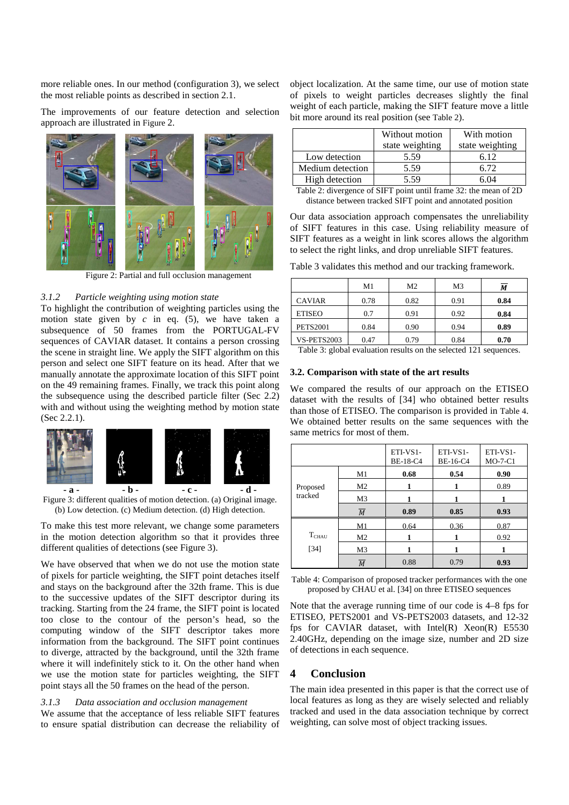more reliable ones. In our method (configuration 3), we select the most reliable points as described in section 2.1.

The improvements of our feature detection and selection approach are illustrated in Figure 2.



Figure 2: Partial and full occlusion management

#### *3.1.2 Particle weighting using motion state*

To highlight the contribution of weighting particles using the motion state given by  $c$  in eq. (5), we have taken a subsequence of 50 frames from the PORTUGAL-FV sequences of CAVIAR dataset. It contains a person crossing the scene in straight line. We apply the SIFT algorithm on this person and select one SIFT feature on its head. After that we manually annotate the approximate location of this SIFT point on the 49 remaining frames. Finally, we track this point along the subsequence using the described particle filter (Sec 2.2) with and without using the weighting method by motion state (Sec 2.2.1).



Figure 3: different qualities of motion detection. (a) Original image. (b) Low detection. (c) Medium detection. (d) High detection.

To make this test more relevant, we change some parameters in the motion detection algorithm so that it provides three different qualities of detections (see Figure 3).

We have observed that when we do not use the motion state of pixels for particle weighting, the SIFT point detaches itself and stays on the background after the 32th frame. This is due to the successive updates of the SIFT descriptor during its tracking. Starting from the 24 frame, the SIFT point is located too close to the contour of the person's head, so the computing window of the SIFT descriptor takes more information from the background. The SIFT point continues to diverge, attracted by the background, until the 32th frame where it will indefinitely stick to it. On the other hand when we use the motion state for particles weighting, the SIFT point stays all the 50 frames on the head of the person.

#### *3.1.3 Data association and occlusion management*

We assume that the acceptance of less reliable SIFT features to ensure spatial distribution can decrease the reliability of object localization. At the same time, our use of motion state of pixels to weight particles decreases slightly the final weight of each particle, making the SIFT feature move a little bit more around its real position (see Table 2).

|                  | Without motion  | With motion     |  |
|------------------|-----------------|-----------------|--|
|                  | state weighting | state weighting |  |
| Low detection    | 5.59            | 6.12            |  |
| Medium detection | 5.59            | 6.72            |  |
| High detection   | 5.59            | 6 በ4            |  |

Table 2: divergence of SIFT point until frame 32: the mean of 2D distance between tracked SIFT point and annotated position

Our data association approach compensates the unreliability of SIFT features in this case. Using reliability measure of SIFT features as a weight in link scores allows the algorithm to select the right links, and drop unreliable SIFT features.

Table 3 validates this method and our tracking framework.

|                                                               | M1   | M <sub>2</sub> | M <sub>3</sub> | $\overline{\bm{M}}$ |
|---------------------------------------------------------------|------|----------------|----------------|---------------------|
| <b>CAVIAR</b>                                                 | 0.78 | 0.82           | 0.91           | 0.84                |
| <b>ETISEO</b>                                                 | 0.7  | 0.91           | 0.92           | 0.84                |
| <b>PETS2001</b>                                               | 0.84 | 0.90           | 0.94           | 0.89                |
| VS-PETS2003                                                   | 0.47 | 0.79           | 0.84           | 0.70                |
| $m+1$ $\land$<br>1111<br>п.<br>.<br>п.<br>$\cdot$ 1<br>1.1101 |      |                |                |                     |

Table 3: global evaluation results on the selected 121 sequences.

#### **3.2. Comparison with state of the art results**

We compared the results of our approach on the ETISEO dataset with the results of [34] who obtained better results than those of ETISEO. The comparison is provided in Table 4. We obtained better results on the same sequences with the same metrics for most of them.

|                     |                | ETI-VS1-<br><b>BE-18-C4</b> | ETI-VS1-<br><b>BE-16-C4</b> | $ETI-VS1-$<br>$MO-7-C1$ |
|---------------------|----------------|-----------------------------|-----------------------------|-------------------------|
| Proposed<br>tracked | M1             | 0.68                        | 0.54                        | 0.90                    |
|                     | M <sub>2</sub> |                             |                             | 0.89                    |
|                     | M <sub>3</sub> |                             |                             |                         |
|                     | M              | 0.89                        | 0.85                        | 0.93                    |
|                     | M1             | 0.64                        | 0.36                        | 0.87                    |
| $T_{CHAU}$          | M <sub>2</sub> |                             |                             | 0.92                    |
| $[34]$              | M <sub>3</sub> |                             |                             |                         |
|                     | $\overline{M}$ | 0.88                        | 0.79                        | 0.93                    |

Table 4: Comparison of proposed tracker performances with the one proposed by CHAU et al. [34] on three ETISEO sequences

Note that the average running time of our code is 4–8 fps for ETISEO, PETS2001 and VS-PETS2003 datasets, and 12-32 fps for CAVIAR dataset, with Intel(R) Xeon(R) E5530 2.40GHz, depending on the image size, number and 2D size of detections in each sequence.

### **4 Conclusion**

The main idea presented in this paper is that the correct use of local features as long as they are wisely selected and reliably tracked and used in the data association technique by correct weighting, can solve most of object tracking issues.